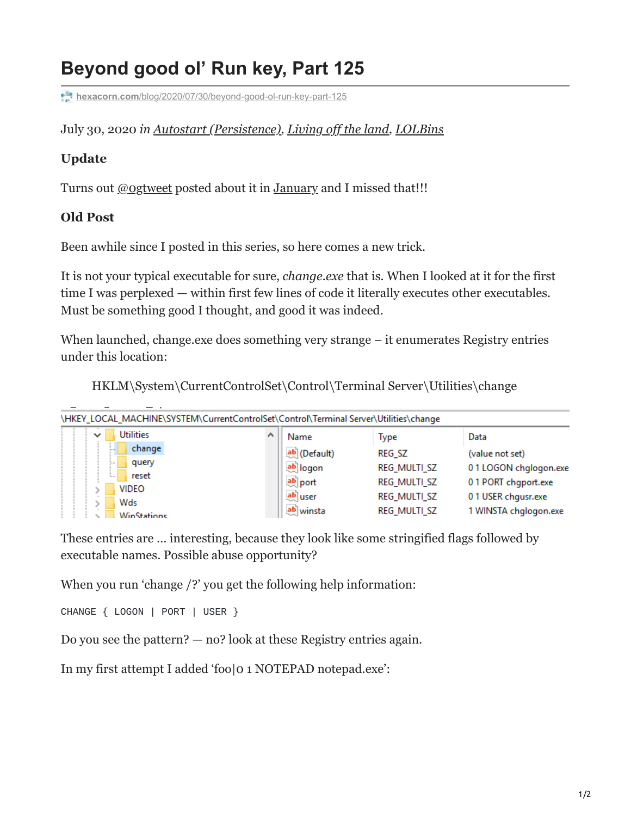## **Beyond good ol' Run key, Part 125**

**hexacorn.com**[/blog/2020/07/30/beyond-good-ol-run-key-part-125](https://www.hexacorn.com/blog/2020/07/30/beyond-good-ol-run-key-part-125/)

## July 30, 2020 *in [Autostart \(Persistence\),](https://www.hexacorn.com/blog/category/autostart-persistence/) [Living off the land](https://www.hexacorn.com/blog/category/living-off-the-land/), [LOLBins](https://www.hexacorn.com/blog/category/living-off-the-land/lolbins/)*

## **Update**

Turns out [@0gtweet](https://twitter.com/0gtweet) posted about it in [January](https://twitter.com/0gtweet/status/1289062885608620032?s=20) and I missed that!!!

## **Old Post**

Been awhile since I posted in this series, so here comes a new trick.

It is not your typical executable for sure, *change.exe* that is. When I looked at it for the first time I was perplexed — within first few lines of code it literally executes other executables. Must be something good I thought, and good it was indeed.

When launched, change.exe does something very strange – it enumerates Registry entries under this location:

HKLM\System\CurrentControlSet\Control\Terminal Server\Utilities\change

| \HKEY_LOCAL_MACHINE\SYSTEM\CurrentControlSet\Control\Terminal Server\Utilities\change |              |               |                       |
|---------------------------------------------------------------------------------------|--------------|---------------|-----------------------|
| <b>Utilities</b><br>$\checkmark$                                                      | Name         | Type          | Data                  |
| change<br><br>query<br>                                                               | ab (Default) | <b>REG SZ</b> | (value not set)       |
|                                                                                       | ab logon     | REG_MULTI_SZ  | 01LOGON chglogon.exe  |
| reset<br>:<br><b>VIDEO</b>                                                            | ab port      | REG_MULTI_SZ  | 01 PORT chgport.exe   |
| Wds                                                                                   | ab user      | REG_MULTI_SZ  | 01 USER chgusr.exe    |
| <b>WinStations</b>                                                                    | ab winsta    | REG_MULTI_SZ  | 1 WINSTA chglogon.exe |

These entries are … interesting, because they look like some stringified flags followed by executable names. Possible abuse opportunity?

When you run 'change /?' you get the following help information:

CHANGE { LOGON | PORT | USER }

Do you see the pattern? — no? look at these Registry entries again.

In my first attempt I added 'foo|0 1 NOTEPAD notepad.exe':